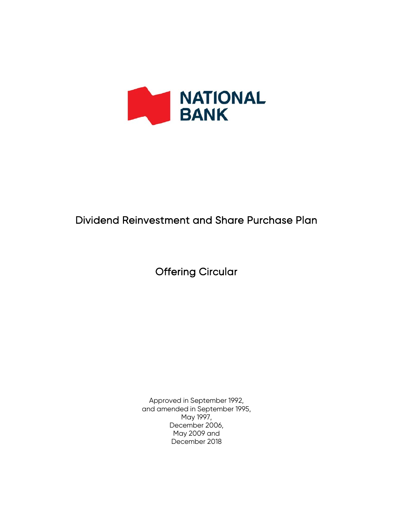

# Dividend Reinvestment and Share Purchase Plan

Offering Circular

Approved in September 1992, and amended in September 1995, May 1997, December 2006, May 2009 and December 2018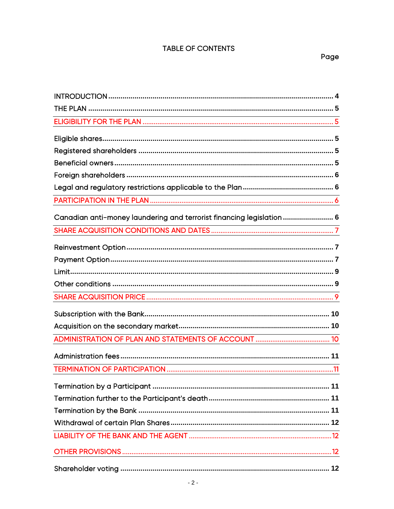# TABLE OF CONTENTS

| Canadian anti-money laundering and terrorist financing legislation  6                                            |
|------------------------------------------------------------------------------------------------------------------|
|                                                                                                                  |
|                                                                                                                  |
|                                                                                                                  |
|                                                                                                                  |
|                                                                                                                  |
| and the control of the control of the control of the control of the control of the control of the control of the |
|                                                                                                                  |
|                                                                                                                  |
|                                                                                                                  |
|                                                                                                                  |
|                                                                                                                  |
|                                                                                                                  |
|                                                                                                                  |
|                                                                                                                  |
|                                                                                                                  |
|                                                                                                                  |
|                                                                                                                  |
|                                                                                                                  |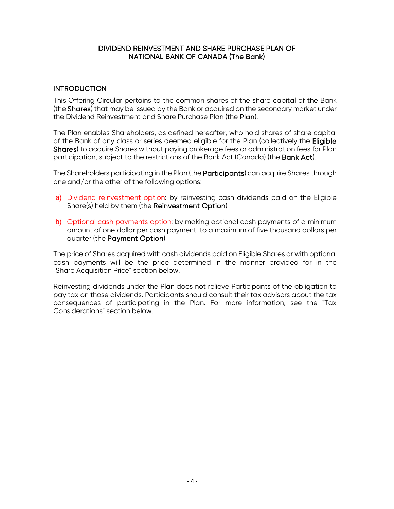#### DIVIDEND REINVESTMENT AND SHARE PURCHASE PLAN OF NATIONAL BANK OF CANADA (The Bank)

# <span id="page-3-0"></span>**INTRODUCTION**

This Offering Circular pertains to the common shares of the share capital of the Bank (the Shares) that may be issued by the Bank or acquired on the secondary market under the Dividend Reinvestment and Share Purchase Plan (the Plan).

The Plan enables Shareholders, as defined hereafter, who hold shares of share capital of the Bank of any class or series deemed eligible for the Plan (collectively the Eligible Shares) to acquire Shares without paying brokerage fees or administration fees for Plan participation, subject to the restrictions of the Bank Act (Canada) (the Bank Act).

The Shareholders participating in the Plan (the **Participants**) can acquire Shares through one and/or the other of the following options:

- a) Dividend reinvestment option: by reinvesting cash dividends paid on the Eligible Share(s) held by them (the Reinvestment Option)
- b) Optional cash payments option: by making optional cash payments of a minimum amount of one dollar per cash payment, to a maximum of five thousand dollars per quarter (the Payment Option)

The price of Shares acquired with cash dividends paid on Eligible Shares or with optional cash payments will be the price determined in the manner provided for in the "Share Acquisition Price" section below.

Reinvesting dividends under the Plan does not relieve Participants of the obligation to pay tax on those dividends. Participants should consult their tax advisors about the tax consequences of participating in the Plan. For more information, see the "Tax Considerations" section below.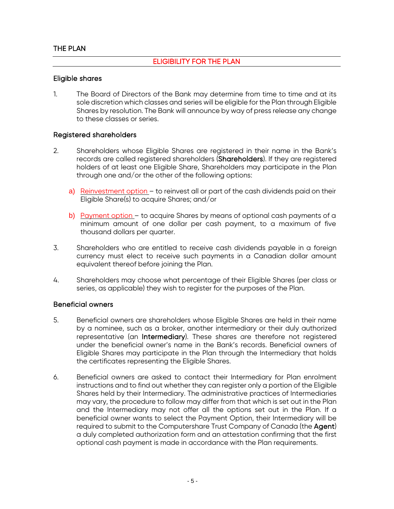# ELIGIBILITY FOR THE PLAN

#### <span id="page-4-2"></span><span id="page-4-1"></span><span id="page-4-0"></span>Eligible shares

1. The Board of Directors of the Bank may determine from time to time and at its sole discretion which classes and series will be eligible for the Plan through Eligible Shares by resolution. The Bank will announce by way of press release any change to these classes or series.

#### <span id="page-4-3"></span>Registered shareholders

- 2. Shareholders whose Eligible Shares are registered in their name in the Bank's records are called registered shareholders (Shareholders). If they are registered holders of at least one Eligible Share, Shareholders may participate in the Plan through one and/or the other of the following options:
	- a) Reinvestment option to reinvest all or part of the cash dividends paid on their Eligible Share(s) to acquire Shares; and/or
	- b) Payment option to acquire Shares by means of optional cash payments of a minimum amount of one dollar per cash payment, to a maximum of five thousand dollars per quarter.
- 3. Shareholders who are entitled to receive cash dividends payable in a foreign currency must elect to receive such payments in a Canadian dollar amount equivalent thereof before joining the Plan.
- 4. Shareholders may choose what percentage of their Eligible Shares (per class or series, as applicable) they wish to register for the purposes of the Plan.

#### <span id="page-4-4"></span>Beneficial owners

- 5. Beneficial owners are shareholders whose Eligible Shares are held in their name by a nominee, such as a broker, another intermediary or their duly authorized representative (an Intermediary). These shares are therefore not registered under the beneficial owner's name in the Bank's records. Beneficial owners of Eligible Shares may participate in the Plan through the Intermediary that holds the certificates representing the Eligible Shares.
- 6. Beneficial owners are asked to contact their Intermediary for Plan enrolment instructions and to find out whether they can register only a portion of the Eligible Shares held by their Intermediary. The administrative practices of Intermediaries may vary, the procedure to follow may differ from that which is set out in the Plan and the Intermediary may not offer all the options set out in the Plan. If a beneficial owner wants to select the Payment Option, their Intermediary will be required to submit to the Computershare Trust Company of Canada (the Agent) a duly completed authorization form and an attestation confirming that the first optional cash payment is made in accordance with the Plan requirements.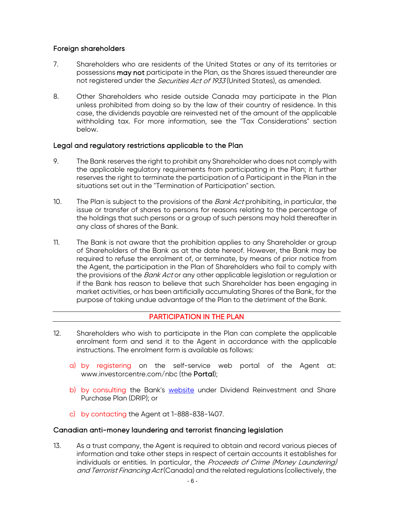# <span id="page-5-0"></span>Foreign shareholders

- 7. Shareholders who are residents of the United States or any of its territories or possessions may not participate in the Plan, as the Shares issued thereunder are not registered under the *Securities Act of 1933* (United States), as amended.
- 8. Other Shareholders who reside outside Canada may participate in the Plan unless prohibited from doing so by the law of their country of residence. In this case, the dividends payable are reinvested net of the amount of the applicable withholding tax. For more information, see the "Tax Considerations" section below.

# <span id="page-5-1"></span>Legal and regulatory restrictions applicable to the Plan

- 9. The Bank reserves the right to prohibit any Shareholder who does not comply with the applicable regulatory requirements from participating in the Plan; it further reserves the right to terminate the participation of a Participant in the Plan in the situations set out in the "Termination of Participation" section.
- 10. The Plan is subject to the provisions of the *Bank Act* prohibiting, in particular, the issue or transfer of shares to persons for reasons relating to the percentage of the holdings that such persons or a group of such persons may hold thereafter in any class of shares of the Bank.
- 11. The Bank is not aware that the prohibition applies to any Shareholder or group of Shareholders of the Bank as at the date hereof. However, the Bank may be required to refuse the enrolment of, or terminate, by means of prior notice from the Agent, the participation in the Plan of Shareholders who fail to comply with the provisions of the Bank Act or any other applicable legislation or regulation or if the Bank has reason to believe that such Shareholder has been engaging in market activities, or has been artificially accumulating Shares of the Bank, for the purpose of taking undue advantage of the Plan to the detriment of the Bank.

# PARTICIPATION IN THE PLAN

- <span id="page-5-2"></span>12. Shareholders who wish to participate in the Plan can complete the applicable enrolment form and send it to the Agent in accordance with the applicable instructions. The enrolment form is available as follows:
	- a) by registering on the self-service web portal of the Agent at: [www.investorcentre.com/](https://urldefense.proofpoint.com/v2/url?u=http-3A__www.centredesinvestisseurs.com&d=DwMFAw&c=XYrWdXnqoGVNRPOyUELP3IXCOEKnVf1zLk3mv6_0vws&r=w3pc4LIK6etugYLsM4uuB2f2szQLAOw8nDla_R1N-444y5pygw75DEsHLGTy-snb&m=VV9hiNN-R7BLxJFJLjCqZEFIqoWOmcwWCtvSxF_QxWg&s=K2f5bvancMb4dMN-JnI3q5iDaHekZCe5yVPjJrqheYE&e=)nbc (the Portal);
	- b) by consulting the Bank's [website](https://www.nbc.ca/en/about-us/investors/investor-relations/capital-debt-information/regulatory-capital/common-and-first-preferred-shares.html) under Dividend Reinvestment and Share Purchase Plan (DRIP); or
	- c) by contacting the Agent at 1-888-838-1407.

#### <span id="page-5-3"></span>Canadian anti-money laundering and terrorist financing legislation

13. As a trust company, the Agent is required to obtain and record various pieces of information and take other steps in respect of certain accounts it establishes for individuals or entities. In particular, the Proceeds of Crime (Money Laundering) and Terrorist Financing Act (Canada) and the related regulations (collectively, the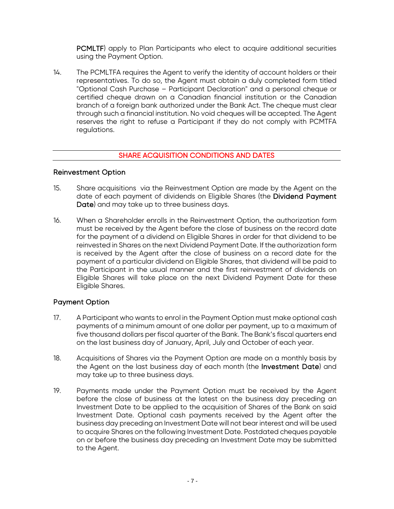PCMLTF) apply to Plan Participants who elect to acquire additional securities using the Payment Option.

14. The PCMLTFA requires the Agent to verify the identity of account holders or their representatives. To do so, the Agent must obtain a duly completed form titled "Optional Cash Purchase – Participant Declaration" and a personal cheque or certified cheque drawn on a Canadian financial institution or the Canadian branch of a foreign bank authorized under the Bank Act. The cheque must clear through such a financial institution. No void cheques will be accepted. The Agent reserves the right to refuse a Participant if they do not comply with PCMTFA regulations.

# SHARE ACQUISITION CONDITIONS AND DATES

#### <span id="page-6-1"></span><span id="page-6-0"></span>Reinvestment Option

- 15. Share acquisitions via the Reinvestment Option are made by the Agent on the date of each payment of dividends on Eligible Shares (the Dividend Payment Date) and may take up to three business days.
- 16. When a Shareholder enrolls in the Reinvestment Option, the authorization form must be received by the Agent before the close of business on the record date for the payment of a dividend on Eligible Shares in order for that dividend to be reinvested in Shares on the next Dividend Payment Date. If the authorization form is received by the Agent after the close of business on a record date for the payment of a particular dividend on Eligible Shares, that dividend will be paid to the Participant in the usual manner and the first reinvestment of dividends on Eligible Shares will take place on the next Dividend Payment Date for these Eligible Shares.

#### <span id="page-6-2"></span>Payment Option

- 17. A Participant who wants to enrol in the Payment Option must make optional cash payments of a minimum amount of one dollar per payment, up to a maximum of five thousand dollars per fiscal quarter of the Bank. The Bank's fiscal quarters end on the last business day of January, April, July and October of each year.
- 18. Acquisitions of Shares via the Payment Option are made on a monthly basis by the Agent on the last business day of each month (the Investment Date) and may take up to three business days.
- 19. Payments made under the Payment Option must be received by the Agent before the close of business at the latest on the business day preceding an Investment Date to be applied to the acquisition of Shares of the Bank on said Investment Date. Optional cash payments received by the Agent after the business day preceding an Investment Date will not bear interest and will be used to acquire Shares on the following Investment Date. Postdated cheques payable on or before the business day preceding an Investment Date may be submitted to the Agent.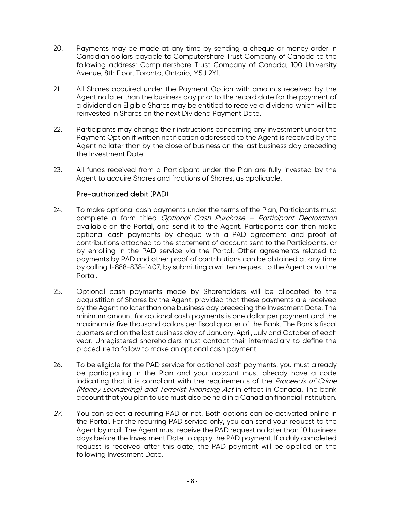- 20. Payments may be made at any time by sending a cheque or money order in Canadian dollars payable to Computershare Trust Company of Canada to the following address: Computershare Trust Company of Canada, 100 University Avenue, 8th Floor, Toronto, Ontario, M5J 2Y1.
- 21. All Shares acquired under the Payment Option with amounts received by the Agent no later than the business day prior to the record date for the payment of a dividend on Eligible Shares may be entitled to receive a dividend which will be reinvested in Shares on the next Dividend Payment Date.
- 22. Participants may change their instructions concerning any investment under the Payment Option if written notification addressed to the Agent is received by the Agent no later than by the close of business on the last business day preceding the Investment Date.
- 23. All funds received from a Participant under the Plan are fully invested by the Agent to acquire Shares and fractions of Shares, as applicable.

#### Pre-authorized debit (PAD)

- 24. To make optional cash payments under the terms of the Plan, Participants must complete a form titled Optional Cash Purchase – Participant Declaration available on the Portal, and send it to the Agent. Participants can then make optional cash payments by cheque with a PAD agreement and proof of contributions attached to the statement of account sent to the Participants, or by enrolling in the PAD service via the Portal. Other agreements related to payments by PAD and other proof of contributions can be obtained at any time by calling 1-888-838-1407, by submitting a written request to the Agent or via the Portal.
- 25. Optional cash payments made by Shareholders will be allocated to the acquistition of Shares by the Agent, provided that these payments are received by the Agent no later than one business day preceding the Investment Date. The minimum amount for optional cash payments is one dollar per payment and the maximum is five thousand dollars per fiscal quarter of the Bank. The Bank's fiscal quarters end on the last business day of January, April, July and October of each year. Unregistered shareholders must contact their intermediary to define the procedure to follow to make an optional cash payment.
- 26. To be eligible for the PAD service for optional cash payments, you must already be participating in the Plan and your account must already have a code indicating that it is compliant with the requirements of the Proceeds of Crime (Money Laundering) and Terrorist Financing Act in effect in Canada. The bank account that you plan to use must also be held in a Canadian financial institution.
- 27. You can select a recurring PAD or not. Both options can be activated online in the Portal. For the recurring PAD service only, you can send your request to the Agent by mail. The Agent must receive the PAD request no later than 10 business days before the Investment Date to apply the PAD payment. If a duly completed request is received after this date, the PAD payment will be applied on the following Investment Date.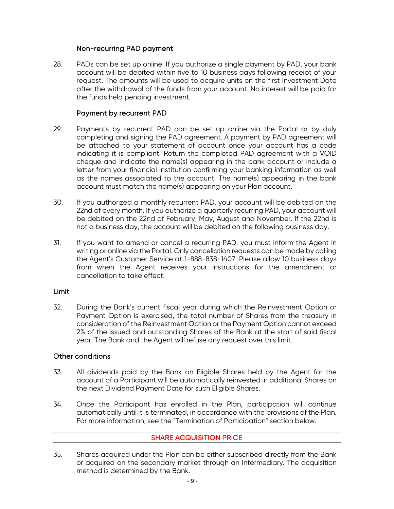#### Non-recurring PAD payment

28. PADs can be set up online. If you authorize a single payment by PAD, your bank account will be debited within five to 10 business days following receipt of your request. The amounts will be used to acquire units on the first Investment Date after the withdrawal of the funds from your account. No interest will be paid for the funds held pending investment.

# Payment by recurrent PAD

- 29. Payments by recurrent PAD can be set up online via the Portal or by duly completing and signing the PAD agreement. A payment by PAD agreement will be attached to your statement of account once your account has a code indicating it is compliant. Return the completed PAD agreement with a VOID cheque and indicate the name(s) appearing in the bank account or include a letter from your financial institution confirming your banking information as well as the names associated to the account. The name(s) appearing in the bank account must match the name(s) appearing on your Plan account.
- 30. If you authorized a monthly recurrent PAD, your account will be debited on the 22nd of every month. If you authorize a quarterly recurring PAD, your account will be debited on the 22nd of February, May, August and November. If the 22nd is not a business day, the account will be debited on the following business day.
- 31. If you want to amend or cancel a recurring PAD, you must inform the Agent in writing or online via the Portal. Only cancellation requests can be made by calling the Agent's Customer Service at 1-888-838-1407. Please allow 10 business days from when the Agent receives your instructions for the amendment or cancellation to take effect.

#### <span id="page-8-0"></span>Limit

32. During the Bank's current fiscal year during which the Reinvestment Option or Payment Option is exercised, the total number of Shares from the treasury in consideration of the Reinvestment Option or the Payment Option cannot exceed 2% of the issued and outstanding Shares of the Bank at the start of said fiscal year. The Bank and the Agent will refuse any request over this limit.

#### <span id="page-8-1"></span>Other conditions

- 33. All dividends paid by the Bank on Eligible Shares held by the Agent for the account of a Participant will be automatically reinvested in additional Shares on the next Dividend Payment Date for such Eligible Shares.
- 34. Once the Participant has enrolled in the Plan, participation will continue automatically until it is terminated, in accordance with the provisions of the Plan. For more information, see the "Termination of Participation" section below.

# SHARE ACQUISITION PRICE

<span id="page-8-2"></span>35. Shares acquired under the Plan can be either subscribed directly from the Bank or acquired on the secondary market through an Intermediary. The acquisition method is determined by the Bank.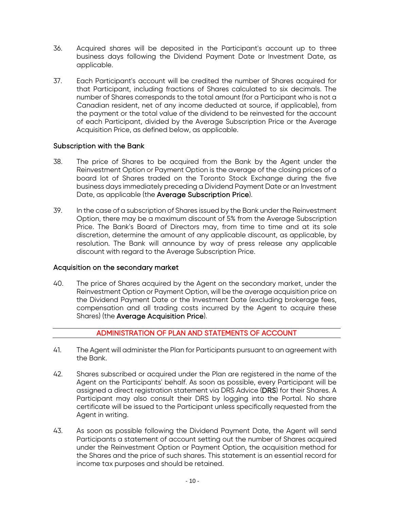- 36. Acquired shares will be deposited in the Participant's account up to three business days following the Dividend Payment Date or Investment Date, as applicable.
- 37. Each Participant's account will be credited the number of Shares acquired for that Participant, including fractions of Shares calculated to six decimals. The number of Shares corresponds to the total amount (for a Participant who is not a Canadian resident, net of any income deducted at source, if applicable), from the payment or the total value of the dividend to be reinvested for the account of each Participant, divided by the Average Subscription Price or the Average Acquisition Price, as defined below, as applicable.

#### <span id="page-9-0"></span>Subscription with the Bank

- 38. The price of Shares to be acquired from the Bank by the Agent under the Reinvestment Option or Payment Option is the average of the closing prices of a board lot of Shares traded on the Toronto Stock Exchange during the five business days immediately preceding a Dividend Payment Date or an Investment Date, as applicable (the Average Subscription Price).
- 39. In the case of a subscription of Shares issued by the Bank under the Reinvestment Option, there may be a maximum discount of 5% from the Average Subscription Price. The Bank's Board of Directors may, from time to time and at its sole discretion, determine the amount of any applicable discount, as applicable, by resolution. The Bank will announce by way of press release any applicable discount with regard to the Average Subscription Price.

#### <span id="page-9-1"></span>Acquisition on the secondary market

40. The price of Shares acquired by the Agent on the secondary market, under the Reinvestment Option or Payment Option, will be the average acquisition price on the Dividend Payment Date or the Investment Date (excluding brokerage fees, compensation and all trading costs incurred by the Agent to acquire these Shares) (the Average Acquisition Price).

# ADMINISTRATION OF PLAN AND STATEMENTS OF ACCOUNT

- <span id="page-9-2"></span>41. The Agent will administer the Plan for Participants pursuant to an agreement with the Bank.
- 42. Shares subscribed or acquired under the Plan are registered in the name of the Agent on the Participants' behalf. As soon as possible, every Participant will be assigned a direct registration statement via DRS Advice (DRS) for their Shares. A Participant may also consult their DRS by logging into the Portal. No share certificate will be issued to the Participant unless specifically requested from the Agent in writing.
- 43. As soon as possible following the Dividend Payment Date, the Agent will send Participants a statement of account setting out the number of Shares acquired under the Reinvestment Option or Payment Option, the acquisition method for the Shares and the price of such shares. This statement is an essential record for income tax purposes and should be retained.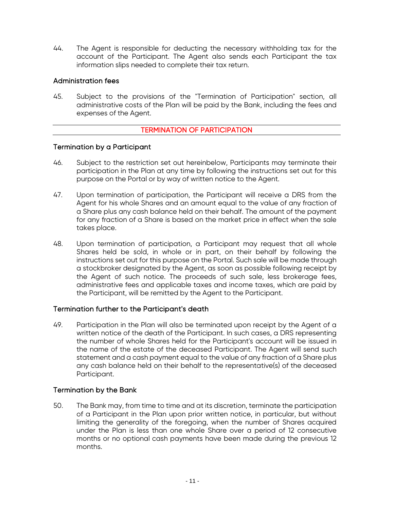44. The Agent is responsible for deducting the necessary withholding tax for the account of the Participant. The Agent also sends each Participant the tax information slips needed to complete their tax return.

#### <span id="page-10-0"></span>Administration fees

45. Subject to the provisions of the "Termination of Participation" section, all administrative costs of the Plan will be paid by the Bank, including the fees and expenses of the Agent.

#### TERMINATION OF PARTICIPATION

#### <span id="page-10-2"></span><span id="page-10-1"></span>Termination by a Participant

- 46. Subject to the restriction set out hereinbelow, Participants may terminate their participation in the Plan at any time by following the instructions set out for this purpose on the Portal or by way of written notice to the Agent.
- 47. Upon termination of participation, the Participant will receive a DRS from the Agent for his whole Shares and an amount equal to the value of any fraction of a Share plus any cash balance held on their behalf. The amount of the payment for any fraction of a Share is based on the market price in effect when the sale takes place.
- 48. Upon termination of participation, a Participant may request that all whole Shares held be sold, in whole or in part, on their behalf by following the instructions set out for this purpose on the Portal. Such sale will be made through a stockbroker designated by the Agent, as soon as possible following receipt by the Agent of such notice. The proceeds of such sale, less brokerage fees, administrative fees and applicable taxes and income taxes, which are paid by the Participant, will be remitted by the Agent to the Participant.

#### <span id="page-10-3"></span>Termination further to the Participant's death

49. Participation in the Plan will also be terminated upon receipt by the Agent of a written notice of the death of the Participant. In such cases, a DRS representing the number of whole Shares held for the Participant's account will be issued in the name of the estate of the deceased Participant. The Agent will send such statement and a cash payment equal to the value of any fraction of a Share plus any cash balance held on their behalf to the representative(s) of the deceased Participant.

#### <span id="page-10-4"></span>Termination by the Bank

50. The Bank may, from time to time and at its discretion, terminate the participation of a Participant in the Plan upon prior written notice, in particular, but without limiting the generality of the foregoing, when the number of Shares acquired under the Plan is less than one whole Share over a period of 12 consecutive months or no optional cash payments have been made during the previous 12 months.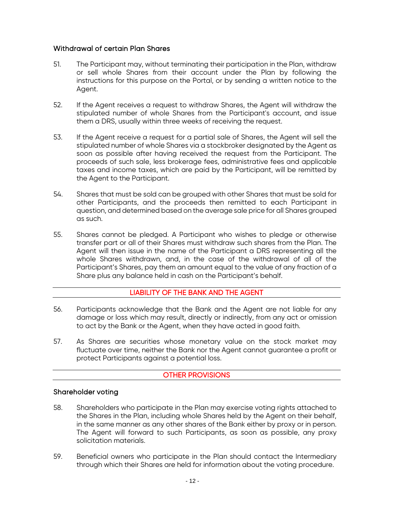# <span id="page-11-0"></span>Withdrawal of certain Plan Shares

- 51. The Participant may, without terminating their participation in the Plan, withdraw or sell whole Shares from their account under the Plan by following the instructions for this purpose on the Portal, or by sending a written notice to the Agent.
- 52. If the Agent receives a request to withdraw Shares, the Agent will withdraw the stipulated number of whole Shares from the Participant's account, and issue them a DRS, usually within three weeks of receiving the request.
- 53. If the Agent receive a request for a partial sale of Shares, the Agent will sell the stipulated number of whole Shares via a stockbroker designated by the Agent as soon as possible after having received the request from the Participant. The proceeds of such sale, less brokerage fees, administrative fees and applicable taxes and income taxes, which are paid by the Participant, will be remitted by the Agent to the Participant.
- 54. Shares that must be sold can be grouped with other Shares that must be sold for other Participants, and the proceeds then remitted to each Participant in question, and determined based on the average sale price for all Shares grouped as such.
- 55. Shares cannot be pledged. A Participant who wishes to pledge or otherwise transfer part or all of their Shares must withdraw such shares from the Plan. The Agent will then issue in the name of the Participant a DRS representing all the whole Shares withdrawn, and, in the case of the withdrawal of all of the Participant's Shares, pay them an amount equal to the value of any fraction of a Share plus any balance held in cash on the Participant's behalf.

# LIABILITY OF THE BANK AND THE AGENT

- <span id="page-11-1"></span>56. Participants acknowledge that the Bank and the Agent are not liable for any damage or loss which may result, directly or indirectly, from any act or omission to act by the Bank or the Agent, when they have acted in good faith.
- 57. As Shares are securities whose monetary value on the stock market may fluctuate over time, neither the Bank nor the Agent cannot guarantee a profit or protect Participants against a potential loss.

# OTHER PROVISIONS

#### <span id="page-11-3"></span><span id="page-11-2"></span>Shareholder voting

- 58. Shareholders who participate in the Plan may exercise voting rights attached to the Shares in the Plan, including whole Shares held by the Agent on their behalf, in the same manner as any other shares of the Bank either by proxy or in person. The Agent will forward to such Participants, as soon as possible, any proxy solicitation materials.
- 59. Beneficial owners who participate in the Plan should contact the Intermediary through which their Shares are held for information about the voting procedure.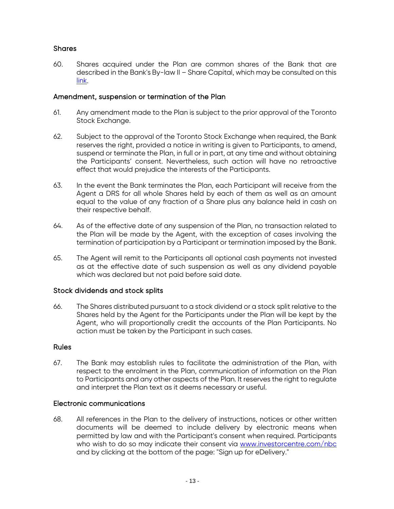# <span id="page-12-0"></span>**Shares**

60. Shares acquired under the Plan are common shares of the Bank that are described in the Bank's By-law II – Share Capital, which may be consulted on this [link.](https://www.nbc.ca/en/about-us/governance/corporate-practices.html)

#### <span id="page-12-1"></span>Amendment, suspension or termination of the Plan

- 61. Any amendment made to the Plan is subject to the prior approval of the Toronto Stock Exchange.
- 62. Subject to the approval of the Toronto Stock Exchange when required, the Bank reserves the right, provided a notice in writing is given to Participants, to amend, suspend or terminate the Plan, in full or in part, at any time and without obtaining the Participants' consent. Nevertheless, such action will have no retroactive effect that would prejudice the interests of the Participants.
- 63. In the event the Bank terminates the Plan, each Participant will receive from the Agent a DRS for all whole Shares held by each of them as well as an amount equal to the value of any fraction of a Share plus any balance held in cash on their respective behalf.
- 64. As of the effective date of any suspension of the Plan, no transaction related to the Plan will be made by the Agent, with the exception of cases involving the termination of participation by a Participant or termination imposed by the Bank.
- 65. The Agent will remit to the Participants all optional cash payments not invested as at the effective date of such suspension as well as any dividend payable which was declared but not paid before said date.

#### <span id="page-12-2"></span>Stock dividends and stock splits

66. The Shares distributed pursuant to a stock dividend or a stock split relative to the Shares held by the Agent for the Participants under the Plan will be kept by the Agent, who will proportionally credit the accounts of the Plan Participants. No action must be taken by the Participant in such cases.

#### <span id="page-12-3"></span>Rules

67. The Bank may establish rules to facilitate the administration of the Plan, with respect to the enrolment in the Plan, communication of information on the Plan to Participants and any other aspects of the Plan. It reserves the right to regulate and interpret the Plan text as it deems necessary or useful.

#### <span id="page-12-4"></span>Electronic communications

68. All references in the Plan to the delivery of instructions, notices or other written documents will be deemed to include delivery by electronic means when permitted by law and with the Participant's consent when required. Participants who wish to do so may indicate their consent via [www.investorcentre.com/nbc](http://www.investorcentre.com/nbc) and by clicking at the bottom of the page: "Sign up for eDelivery."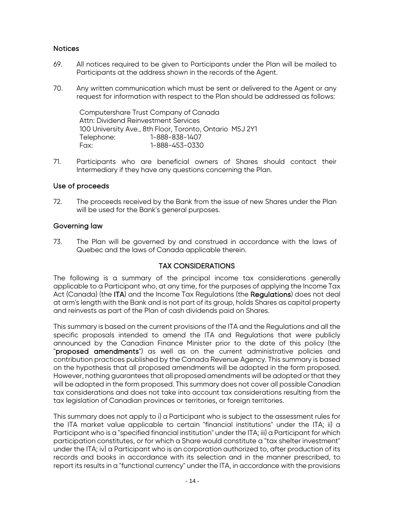# <span id="page-13-0"></span>Notices

- 69. All notices required to be given to Participants under the Plan will be mailed to Participants at the address shown in the records of the Agent.
- 70. Any written communication which must be sent or delivered to the Agent or any request for information with respect to the Plan should be addressed as follows:

Computershare Trust Company of Canada Attn: Dividend Reinvestment Services 100 University Ave., 8th Floor, Toronto, Ontario M5J 2Y1 Telephone: 1-888-838-1407 Fax: 1-888-453-0330

71. Participants who are beneficial owners of Shares should contact their Intermediary if they have any questions concerning the Plan.

#### <span id="page-13-1"></span>Use of proceeds

72. The proceeds received by the Bank from the issue of new Shares under the Plan will be used for the Bank's general purposes.

#### <span id="page-13-2"></span>Governing law

73. The Plan will be governed by and construed in accordance with the laws of Quebec and the laws of Canada applicable therein.

#### TAX CONSIDERATIONS

<span id="page-13-3"></span>The following is a summary of the principal income tax considerations generally applicable to a Participant who, at any time, for the purposes of applying the Income Tax Act (Canada) (the ITA) and the Income Tax Regulations (the Regulations) does not deal at arm's length with the Bank and is not part of its group, holds Shares as capital property and reinvests as part of the Plan of cash dividends paid on Shares.

This summary is based on the current provisions of the ITA and the Regulations and all the specific proposals intended to amend the ITA and Regulations that were publicly announced by the Canadian Finance Minister prior to the date of this policy (the "proposed amendments") as well as on the current administrative policies and contribution practices published by the Canada Revenue Agency. This summary is based on the hypothesis that all proposed amendments will be adopted in the form proposed. However, nothing guarantees that all proposed amendments will be adopted or that they will be adopted in the form proposed. This summary does not cover all possible Canadian tax considerations and does not take into account tax considerations resulting from the tax legislation of Canadian provinces or territories, or foreign territories.

This summary does not apply to i) a Participant who is subject to the assessment rules for the ITA market value applicable to certain "financial institutions" under the ITA; ii) a Participant who is a "specified financial institution" under the ITA; iii) a Participant for which participation constitutes, or for which a Share would constitute a "tax shelter investment" under the ITA; iv) a Participant who is an corporation authorized to, after production of its records and books in accordance with its selection and in the manner prescribed, to report its results in a "functional currency" under the ITA, in accordance with the provisions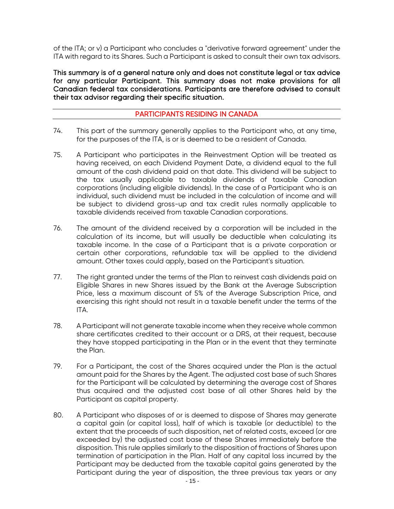of the ITA; or v) a Participant who concludes a "derivative forward agreement" under the ITA with regard to its Shares. Such a Participant is asked to consult their own tax advisors.

This summary is of a general nature only and does not constitute legal or tax advice for any particular Participant. This summary does not make provisions for all Canadian federal tax considerations. Participants are therefore advised to consult their tax advisor regarding their specific situation.

#### PARTICIPANTS RESIDING IN CANADA

- <span id="page-14-0"></span>74. This part of the summary generally applies to the Participant who, at any time, for the purposes of the ITA, is or is deemed to be a resident of Canada.
- 75. A Participant who participates in the Reinvestment Option will be treated as having received, on each Dividend Payment Date, a dividend equal to the full amount of the cash dividend paid on that date. This dividend will be subject to the tax usually applicable to taxable dividends of taxable Canadian corporations (including eligible dividends). In the case of a Participant who is an individual, such dividend must be included in the calculation of income and will be subject to dividend gross-up and tax credit rules normally applicable to taxable dividends received from taxable Canadian corporations.
- 76. The amount of the dividend received by a corporation will be included in the calculation of its income, but will usually be deductible when calculating its taxable income. In the case of a Participant that is a private corporation or certain other corporations, refundable tax will be applied to the dividend amount. Other taxes could apply, based on the Participant's situation.
- 77. The right granted under the terms of the Plan to reinvest cash dividends paid on Eligible Shares in new Shares issued by the Bank at the Average Subscription Price, less a maximum discount of 5% of the Average Subscription Price, and exercising this right should not result in a taxable benefit under the terms of the ITA.
- 78. A Participant will not generate taxable income when they receive whole common share certificates credited to their account or a DRS, at their request, because they have stopped participating in the Plan or in the event that they terminate the Plan.
- 79. For a Participant, the cost of the Shares acquired under the Plan is the actual amount paid for the Shares by the Agent. The adjusted cost base of such Shares for the Participant will be calculated by determining the average cost of Shares thus acquired and the adjusted cost base of all other Shares held by the Participant as capital property.
- 80. A Participant who disposes of or is deemed to dispose of Shares may generate a capital gain (or capital loss), half of which is taxable (or deductible) to the extent that the proceeds of such disposition, net of related costs, exceed (or are exceeded by) the adjusted cost base of these Shares immediately before the disposition. This rule applies similarly to the disposition of fractions of Shares upon termination of participation in the Plan. Half of any capital loss incurred by the Participant may be deducted from the taxable capital gains generated by the Participant during the year of disposition, the three previous tax years or any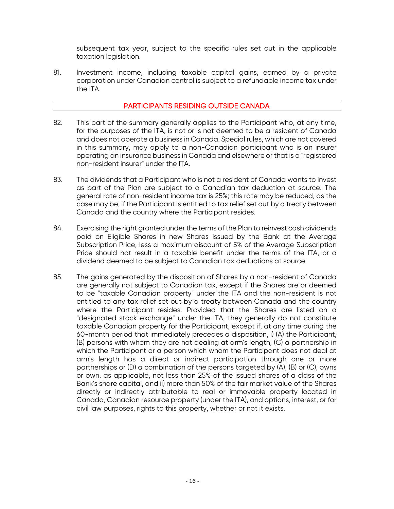subsequent tax year, subject to the specific rules set out in the applicable taxation legislation.

81. Investment income, including taxable capital gains, earned by a private corporation under Canadian control is subject to a refundable income tax under the ITA.

#### PARTICIPANTS RESIDING OUTSIDE CANADA

- <span id="page-15-0"></span>82. This part of the summary generally applies to the Participant who, at any time, for the purposes of the ITA, is not or is not deemed to be a resident of Canada and does not operate a business in Canada. Special rules, which are not covered in this summary, may apply to a non-Canadian participant who is an insurer operating an insurance business in Canada and elsewhere or that is a "registered non-resident insurer" under the ITA.
- 83. The dividends that a Participant who is not a resident of Canada wants to invest as part of the Plan are subject to a Canadian tax deduction at source. The general rate of non-resident income tax is 25%; this rate may be reduced, as the case may be, if the Participant is entitled to tax relief set out by a treaty between Canada and the country where the Participant resides.
- 84. Exercising the right granted under the terms of the Plan to reinvest cash dividends paid on Eligible Shares in new Shares issued by the Bank at the Average Subscription Price, less a maximum discount of 5% of the Average Subscription Price should not result in a taxable benefit under the terms of the ITA, or a dividend deemed to be subject to Canadian tax deductions at source.
- 85. The gains generated by the disposition of Shares by a non-resident of Canada are generally not subject to Canadian tax, except if the Shares are or deemed to be "taxable Canadian property" under the ITA and the non-resident is not entitled to any tax relief set out by a treaty between Canada and the country where the Participant resides. Provided that the Shares are listed on a "designated stock exchange" under the ITA, they generally do not constitute taxable Canadian property for the Participant, except if, at any time during the 60-month period that immediately precedes a disposition, i) (A) the Participant, (B) persons with whom they are not dealing at arm's length, (C) a partnership in which the Participant or a person which whom the Participant does not deal at arm's length has a direct or indirect participation through one or more partnerships or (D) a combination of the persons targeted by (A), (B) or (C), owns or own, as applicable, not less than 25% of the issued shares of a class of the Bank's share capital, and ii) more than 50% of the fair market value of the Shares directly or indirectly attributable to real or immovable property located in Canada, Canadian resource property (under the ITA), and options, interest, or for civil law purposes, rights to this property, whether or not it exists.